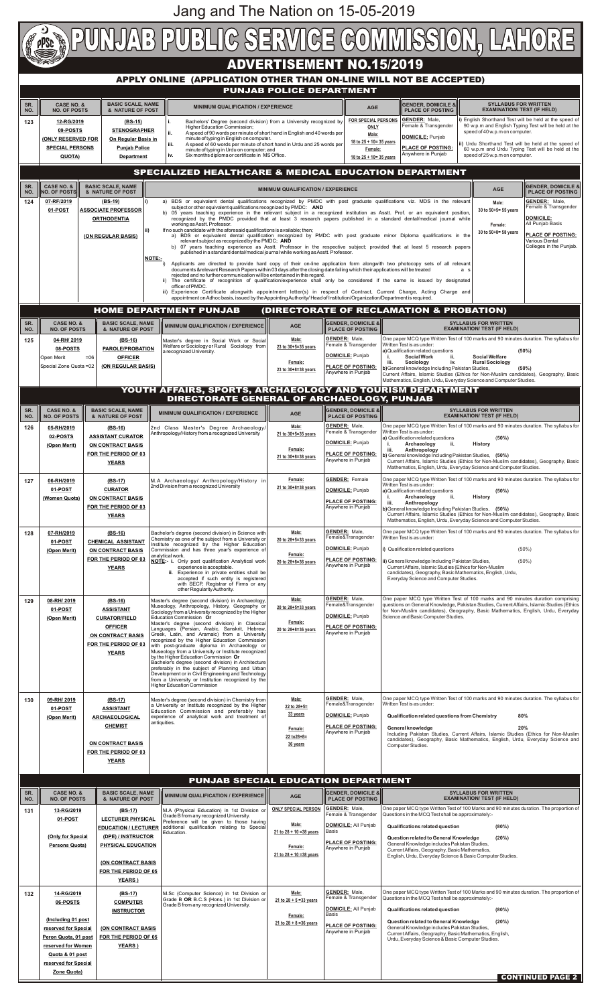|                                 | <b>PUNJAB PUBLIG SERVIGE GOMMISSION, LAHORE</b>                                                                                                                                                                                                                                                                                                                                                      |                                                                 |                                                                                                                                                                                                                                                                                                                                                              |                                                                                                                                                                                                |                                                                                  |                                                                                                                                                                |                                                                                                                                                                                                                                                                    |  |  |  |  |  |  |  |
|---------------------------------|------------------------------------------------------------------------------------------------------------------------------------------------------------------------------------------------------------------------------------------------------------------------------------------------------------------------------------------------------------------------------------------------------|-----------------------------------------------------------------|--------------------------------------------------------------------------------------------------------------------------------------------------------------------------------------------------------------------------------------------------------------------------------------------------------------------------------------------------------------|------------------------------------------------------------------------------------------------------------------------------------------------------------------------------------------------|----------------------------------------------------------------------------------|----------------------------------------------------------------------------------------------------------------------------------------------------------------|--------------------------------------------------------------------------------------------------------------------------------------------------------------------------------------------------------------------------------------------------------------------|--|--|--|--|--|--|--|
|                                 | <b>ADVERTISEMENT NO.15/2019</b><br>APPLY ONLINE (APPLICATION OTHER THAN ON-LINE WILL NOT BE ACCEPTED)                                                                                                                                                                                                                                                                                                |                                                                 |                                                                                                                                                                                                                                                                                                                                                              |                                                                                                                                                                                                |                                                                                  |                                                                                                                                                                |                                                                                                                                                                                                                                                                    |  |  |  |  |  |  |  |
| <b>PUNJAB POLICE DEPARTMENT</b> |                                                                                                                                                                                                                                                                                                                                                                                                      |                                                                 |                                                                                                                                                                                                                                                                                                                                                              |                                                                                                                                                                                                |                                                                                  |                                                                                                                                                                |                                                                                                                                                                                                                                                                    |  |  |  |  |  |  |  |
| SR.<br>NO.                      | <b>CASE NO. &amp;</b><br><b>BASIC SCALE, NAME</b><br><b>NO. OF POSTS</b><br>& NATURE OF POST                                                                                                                                                                                                                                                                                                         |                                                                 | <b>MINIMUM QUALIFICATION / EXPERIENCE</b>                                                                                                                                                                                                                                                                                                                    |                                                                                                                                                                                                | <b>AGE</b>                                                                       | <b>GENDER, DOMICILE &amp;</b><br><b>PLACE OF POSTING</b>                                                                                                       | <b>SYLLABUS FOR WRITTEN</b><br><b>EXAMINATION/ TEST (IF HELD)</b>                                                                                                                                                                                                  |  |  |  |  |  |  |  |
| 123                             | (BS-15)<br>12-RG/2019<br><b>STENOGRAPHER</b><br>09-POSTS                                                                                                                                                                                                                                                                                                                                             |                                                                 | Bachelors' Degree (second division) from a University recognized by<br>Higher Education Commission;<br>ii.<br>A speed of 90 words per minute of short hand in English and 40 words per                                                                                                                                                                       |                                                                                                                                                                                                | <b>FOR SPECIAL PERSONS</b><br>ONLY<br>Male:                                      | <b>GENDER:</b> Male,<br>Female & Transgender                                                                                                                   | i) English Shorthand Test will be held at the speed of<br>90 w.p.m and English Typing Test will be held at the<br>speed of 40 w.p.m on computer.                                                                                                                   |  |  |  |  |  |  |  |
|                                 | <b>(ONLY RESERVED FOR</b><br><b>SPECIAL PERSONS</b>                                                                                                                                                                                                                                                                                                                                                  | On Regular Basis in<br><b>Punjab Police</b>                     | minute of typing in English on computer.<br>A speed of 60 words per minute of short hand in Urdu and 25 words per<br>iii.<br>minute of typing in Urdu on computer; and                                                                                                                                                                                       |                                                                                                                                                                                                | 18 to 25 + 10= 35 years<br>Female:                                               | DOMICILE: Punjab<br><b>PLACE OF POSTING:</b><br>Anywhere in Punjab                                                                                             | ii) Urdu Shorthand Test will be held at the speed of<br>60 w.p.m and Urdu Typing Test will be held at the                                                                                                                                                          |  |  |  |  |  |  |  |
|                                 | <b>QUOTA)</b>                                                                                                                                                                                                                                                                                                                                                                                        | <b>Department</b>                                               | iv.<br>Six months diploma or certificate in MS Office.<br>SPECIALIZED HEALTHCARE & MEDICAL EDUCATION DEPARTMENT                                                                                                                                                                                                                                              |                                                                                                                                                                                                | 18 to 25 + 10= 35 years                                                          |                                                                                                                                                                | speed of 25 w.p.m on computer.                                                                                                                                                                                                                                     |  |  |  |  |  |  |  |
| SR.                             | <b>CASE NO. &amp;</b>                                                                                                                                                                                                                                                                                                                                                                                | <b>BASIC SCALE, NAME</b>                                        |                                                                                                                                                                                                                                                                                                                                                              | <b>MINIMUM QUALIFICATION / EXPERIENCE</b>                                                                                                                                                      |                                                                                  |                                                                                                                                                                | <b>IGENDER. DOMICILE &amp;</b><br><b>AGE</b>                                                                                                                                                                                                                       |  |  |  |  |  |  |  |
| NO.<br>124                      | <b>NO. OF POSTS</b><br>& NATURE OF POST<br>07-RF/2019<br>(BS-19)                                                                                                                                                                                                                                                                                                                                     |                                                                 |                                                                                                                                                                                                                                                                                                                                                              | a) BDS or equivalent dental qualifications recognized by PMDC with post graduate qualifications viz. MDS in the relevant<br>subject or other equivalent qualifications recognized by PMDC: AND |                                                                                  |                                                                                                                                                                | <b>PLACE OF POSTING</b><br><b>GENDER: Male,</b><br>Male:<br>Female & Transgender                                                                                                                                                                                   |  |  |  |  |  |  |  |
|                                 | 01-POST                                                                                                                                                                                                                                                                                                                                                                                              | <b>ASSOCIATE PROFESSOR</b><br><b>ORTHODENTIA</b>                | b) 05 years teaching experience in the relevant subject in a recognized institution as Asstt. Prof. or an equivalent position,<br>recognized by the PMDC provided that at least 3 research papers published in a standard dental/medical journal while<br>working as Asstt. Professor.                                                                       |                                                                                                                                                                                                |                                                                                  |                                                                                                                                                                | 30 to 50+5= 55 years<br><b>DOMICILE:</b><br>All Punjab Basis<br>Female:<br>30 to 50+8= 58 years<br><b>PLACE OF POSTING:</b><br><b>Various Dental</b>                                                                                                               |  |  |  |  |  |  |  |
|                                 |                                                                                                                                                                                                                                                                                                                                                                                                      | (ON REGULAR BASIS)                                              | If no such candidate with the aforesaid qualifications is available; then;<br>a) BDS or equivalent dental qualification recognized by PMDC with post graduate minor Diploma qualifications in the<br>relevant subject as recognized by the PMDC; AND                                                                                                         |                                                                                                                                                                                                |                                                                                  |                                                                                                                                                                |                                                                                                                                                                                                                                                                    |  |  |  |  |  |  |  |
|                                 |                                                                                                                                                                                                                                                                                                                                                                                                      |                                                                 | b) 07 years teaching experience as Asstt. Professor in the respective subject; provided that at least 5 research papers<br>published in a standard dental/medical journal while working as Asstt. Professor.<br><b>NOTE:-</b><br>Applicants are directed to provide hard copy of their on-line application form alongwith two photocopy sets of all relevant |                                                                                                                                                                                                |                                                                                  |                                                                                                                                                                | Colleges in the Punjab.                                                                                                                                                                                                                                            |  |  |  |  |  |  |  |
|                                 |                                                                                                                                                                                                                                                                                                                                                                                                      |                                                                 | documents &relevant Research Papers within 03 days after the closing date failing which their applications will be treated<br>rejected and no further communication will be entertained in this regard.                                                                                                                                                      |                                                                                                                                                                                                |                                                                                  |                                                                                                                                                                | a s                                                                                                                                                                                                                                                                |  |  |  |  |  |  |  |
|                                 | ii) The certificate of recognition of qualification/experience shall only be considered if the same is issued by designated<br>officer of PMDC.<br>iii) Experience Certificate alongwith appointment letter(s) in respect of Contract, Current Charge, Acting Charge and<br>appointment on Adhoc basis, issued by the Appointing Authority/ Head of Institution/Organization/Department is required. |                                                                 |                                                                                                                                                                                                                                                                                                                                                              |                                                                                                                                                                                                |                                                                                  |                                                                                                                                                                |                                                                                                                                                                                                                                                                    |  |  |  |  |  |  |  |
|                                 |                                                                                                                                                                                                                                                                                                                                                                                                      |                                                                 | <b>HOME DEPARTMENT PUNJAB</b>                                                                                                                                                                                                                                                                                                                                |                                                                                                                                                                                                |                                                                                  | (DIRECTORATE OF RECLAMATION & PROBATION)                                                                                                                       |                                                                                                                                                                                                                                                                    |  |  |  |  |  |  |  |
| SR.<br>NO.                      | <b>CASE NO. &amp;</b><br><b>NO. OF POSTS</b>                                                                                                                                                                                                                                                                                                                                                         | <b>BASIC SCALE, NAME</b><br>& NATURE OF POST                    | MINIMUM QUALIFICATION / EXPERIENCE                                                                                                                                                                                                                                                                                                                           | <b>AGE</b><br>Male:                                                                                                                                                                            | <b>GENDER, DOMICILE &amp;</b><br><b>PLACE OF POSTING</b><br><b>GENDER: Male,</b> |                                                                                                                                                                | <b>SYLLABUS FOR WRITTEN</b><br><b>EXAMINATION/ TEST (IF HELD)</b><br>One paper MCQ type Written Test of 100 marks and 90 minutes duration. The syllabus for                                                                                                        |  |  |  |  |  |  |  |
| 125                             | 04-RH/2019<br>08-POSTS<br>Open Merit                                                                                                                                                                                                                                                                                                                                                                 | $(BS-16)$<br><b>PAROLE/PROBATION</b><br>$=06$<br><b>OFFICER</b> | Master's degree in Social Work or Social<br>Welfare or Sociology or Rural Sociology from<br>a recognized University.                                                                                                                                                                                                                                         | 23 to 30+5=35 years                                                                                                                                                                            | Female & Transgender<br><b>DOMICILE: Punjab</b>                                  | Written Test is as under:<br>a) Qualification related questions<br><b>Social Work</b><br>ii.                                                                   | (50%)<br><b>Social Welfare</b>                                                                                                                                                                                                                                     |  |  |  |  |  |  |  |
|                                 | Special Zone Quota = 02                                                                                                                                                                                                                                                                                                                                                                              | (ON REGULAR BASIS)                                              |                                                                                                                                                                                                                                                                                                                                                              | Female:<br>23 to 30+8=38 years                                                                                                                                                                 | <b>PLACE OF POSTING:</b><br>Anywhere in Punjab                                   | iii.<br>iv.<br>Sociology<br>b) General knowledge Including Pakistan Studies,                                                                                   | <b>Rural Sociology</b><br>(50%)<br>Current Affairs, Islamic Studies (Ethics for Non-Muslim candidates), Geography, Basic                                                                                                                                           |  |  |  |  |  |  |  |
|                                 |                                                                                                                                                                                                                                                                                                                                                                                                      |                                                                 | YOUTH AFFAIRS, SPORTS, ARCHAEOLOGY AND TOURISM DEPARTMENT                                                                                                                                                                                                                                                                                                    |                                                                                                                                                                                                |                                                                                  |                                                                                                                                                                | Mathematics, English, Urdu, Everyday Science and Computer Studies.                                                                                                                                                                                                 |  |  |  |  |  |  |  |
| SR.                             | <b>CASE NO. &amp;</b>                                                                                                                                                                                                                                                                                                                                                                                | <b>BASIC SCALE, NAME</b>                                        | <b>DIRECTORATE GENERAL OF ARCHAEOLOGY, PUNJAB</b><br><b>MINIMUM QUALIFICATION / EXPERIENCE</b>                                                                                                                                                                                                                                                               | <b>AGE</b>                                                                                                                                                                                     | <b>GENDER, DOMICILE &amp;</b>                                                    |                                                                                                                                                                | <b>SYLLABUS FOR WRITTEN</b>                                                                                                                                                                                                                                        |  |  |  |  |  |  |  |
| NO.<br>126                      | <b>NO. OF POSTS</b><br>05-RH/2019                                                                                                                                                                                                                                                                                                                                                                    | & NATURE OF POST<br>$(BS-16)$                                   | 2nd Class Master's Degree Archaeology/                                                                                                                                                                                                                                                                                                                       | Male:                                                                                                                                                                                          | <b>PLACE OF POSTING</b><br><b>GENDER: Male,</b><br>Female & Transgender          | Written Test is as under:                                                                                                                                      | <b>EXAMINATION/ TEST (IF HELD)</b><br>One paper MCQ type Written Test of 100 marks and 90 minutes duration. The syllabus for                                                                                                                                       |  |  |  |  |  |  |  |
|                                 | 02-POSTS<br>(Open Merit)                                                                                                                                                                                                                                                                                                                                                                             | <b>ASSISTANT CURATOR</b><br><b>ON CONTRACT BASIS</b>            | Anthropology/History from a recognized University                                                                                                                                                                                                                                                                                                            | 21 to 30+5=35 years<br>Female:                                                                                                                                                                 | <b>DOMICILE: Punjab</b>                                                          | a) Qualification related questions<br>Archaeology<br>ii.<br>iii.<br>Anthropology                                                                               | (50%)<br><b>History</b>                                                                                                                                                                                                                                            |  |  |  |  |  |  |  |
|                                 |                                                                                                                                                                                                                                                                                                                                                                                                      | FOR THE PERIOD OF 03<br><b>YEARS</b>                            |                                                                                                                                                                                                                                                                                                                                                              | 21 to 30+8=38 years                                                                                                                                                                            | <b>PLACE OF POSTING:</b><br>Anywhere in Punjab                                   | b) General knowledge Including Pakistan Studies, (50%)                                                                                                         | Current Affairs, Islamic Studies (Ethics for Non-Muslim candidates), Geography, Basic<br>Mathematics, English, Urdu, Everyday Science and Computer Studies.                                                                                                        |  |  |  |  |  |  |  |
| 127                             | 06-RH/2019                                                                                                                                                                                                                                                                                                                                                                                           | $(BS-17)$                                                       | M.A Archaeology/ Anthropology/History in<br>2nd Division from a recognized University                                                                                                                                                                                                                                                                        | Female:<br>21 to 30+8=38 years                                                                                                                                                                 | <b>GENDER:</b> Female                                                            | Written Test is as under:                                                                                                                                      | One paper MCQ type Written Test of 100 marks and 90 minutes duration. The syllabus for                                                                                                                                                                             |  |  |  |  |  |  |  |
|                                 | 01-POST<br>(Women Quota)                                                                                                                                                                                                                                                                                                                                                                             | <b>CURATOR</b><br><b>ON CONTRACT BASIS</b>                      |                                                                                                                                                                                                                                                                                                                                                              |                                                                                                                                                                                                | <b>DOMICILE:</b> Punjab<br><b>PLACE OF POSTING:</b>                              | a) Qualification related questions<br>Archaeology<br>ii.<br>iii.<br>Anthropology                                                                               | (50%)<br><b>History</b>                                                                                                                                                                                                                                            |  |  |  |  |  |  |  |
|                                 |                                                                                                                                                                                                                                                                                                                                                                                                      | FOR THE PERIOD OF 03<br><b>YEARS</b>                            |                                                                                                                                                                                                                                                                                                                                                              |                                                                                                                                                                                                | Anywhere in Punjab                                                               | b) General knowledge Including Pakistan Studies, (50%)                                                                                                         | Current Affairs, Islamic Studies (Ethics for Non-Muslim candidates), Geography, Basic<br>Mathematics, English, Urdu, Everyday Science and Computer Studies.                                                                                                        |  |  |  |  |  |  |  |
| 128                             | 07-RH/2019<br>01-POST                                                                                                                                                                                                                                                                                                                                                                                | $(BS-16)$<br><b>CHEMICAL ASSISTANT</b>                          | Bachelor's degree (second division) in Science with<br>Chemistry as one of the subject from a University or                                                                                                                                                                                                                                                  | Male:<br>20 to 28+5=33 years                                                                                                                                                                   | <b>GENDER: Male,</b><br>Female&Transgender                                       | Written Test is as under:                                                                                                                                      | One paper MCQ type Written Test of 100 marks and 90 minutes duration. The syllabus for                                                                                                                                                                             |  |  |  |  |  |  |  |
|                                 | (Open Merit)                                                                                                                                                                                                                                                                                                                                                                                         | <b>ON CONTRACT BASIS</b><br>FOR THE PERIOD OF 03                | Institute recognized by the Higher Education<br>Commission and has three year's experience of<br>analytical work.<br>NOTE:- i. Only post qualification Analytical work                                                                                                                                                                                       | Female:<br>20 to 28+8=36 years                                                                                                                                                                 | <b>DOMICILE: Punjab</b><br><b>PLACE OF POSTING:</b>                              | i) Qualification related questions<br>ii) General knowledge Including Pakistan Studies,                                                                        | $(50\%)$<br>$(50\%)$                                                                                                                                                                                                                                               |  |  |  |  |  |  |  |
|                                 |                                                                                                                                                                                                                                                                                                                                                                                                      | <b>YEARS</b>                                                    | experience is acceptable.<br>ii. Experience in private entities shall be<br>accepted if such entity is registered<br>with SECP, Registrar of Firms or any<br>other Regularity Authority.                                                                                                                                                                     |                                                                                                                                                                                                | Anywhere in Punjab                                                               | Current Affairs, Islamic Studies (Ethics for Non-Muslim<br>candidates), Geography, Basic Mathematics, English, Urdu,<br>Everyday Science and Computer Studies. |                                                                                                                                                                                                                                                                    |  |  |  |  |  |  |  |
| 129                             | 08-RH/2019<br>01-POST                                                                                                                                                                                                                                                                                                                                                                                | $(BS-16)$<br><b>ASSISTANT</b>                                   | Master's degree (second division) in Archaeology,<br>Museology, Anthropology, History, Geography or<br>Sociology from a University recognized by the Higher                                                                                                                                                                                                  | Male:<br>20 to 28+5=33 years                                                                                                                                                                   | <b>GENDER:</b> Male,<br>Female&Transgender                                       |                                                                                                                                                                | One paper MCQ type Written Test of 100 marks and 90 minutes duration comprising<br>questions on General Knowledge, Pakistan Studies, Current Affairs, Islamic Studies (Ethics<br>for Non-Muslim candidates), Geography, Basic Mathematics, English, Urdu, Everyday |  |  |  |  |  |  |  |
|                                 | (Open Merit)                                                                                                                                                                                                                                                                                                                                                                                         | <b>CURATOR/FIELD</b><br><b>OFFICER</b>                          | Education Commission Or<br>Master's degree (second division) in Classical<br>Languages (Persian, Arabic, Sanskrit, Hebrew,                                                                                                                                                                                                                                   | Female:<br>20 to 28+8=36 years                                                                                                                                                                 | <b>DOMICILE:</b> Punjab<br><b>PLACE OF POSTING:</b><br>Anywhere in Punjab        | Science and Basic Computer Studies.                                                                                                                            |                                                                                                                                                                                                                                                                    |  |  |  |  |  |  |  |
|                                 |                                                                                                                                                                                                                                                                                                                                                                                                      | ON CONTRACT BASIS<br>FOR THE PERIOD OF 03                       | Greek, Latin, and Aramaic) from a University<br>recognized by the Higher Education Commission<br>with post-graduate diploma in Archaeology or<br>Museology from a University or Institute recognized                                                                                                                                                         |                                                                                                                                                                                                |                                                                                  |                                                                                                                                                                |                                                                                                                                                                                                                                                                    |  |  |  |  |  |  |  |
|                                 |                                                                                                                                                                                                                                                                                                                                                                                                      | <b>YEARS</b>                                                    | by the Higher Education Commission Or<br>Bachelor's degree (second division) in Architecture<br>preferably in the subject of Planning and Urban                                                                                                                                                                                                              |                                                                                                                                                                                                |                                                                                  |                                                                                                                                                                |                                                                                                                                                                                                                                                                    |  |  |  |  |  |  |  |
|                                 |                                                                                                                                                                                                                                                                                                                                                                                                      |                                                                 | Development or in Civil Engineering and Technology<br>from a University or Institution recognized by the<br><b>Higher Education Commission</b>                                                                                                                                                                                                               |                                                                                                                                                                                                |                                                                                  |                                                                                                                                                                |                                                                                                                                                                                                                                                                    |  |  |  |  |  |  |  |
| 130                             | 09-RH/2019<br>01-POST                                                                                                                                                                                                                                                                                                                                                                                | (BS-17)<br><b>ASSISTANT</b>                                     | Master's degree (second division) in Chemistry from<br>a University or Institute recognized by the Higher                                                                                                                                                                                                                                                    | Male:<br>22 to 28+5=                                                                                                                                                                           | <b>GENDER:</b> Male,<br>Female&Transgender                                       | Written Test is as under:                                                                                                                                      | One paper MCQ type Written Test of 100 marks and 90 minutes duration. The syllabus for                                                                                                                                                                             |  |  |  |  |  |  |  |
|                                 | (Open Merit)                                                                                                                                                                                                                                                                                                                                                                                         | <b>ARCHAEOLOGICAL</b><br><b>CHEMIST</b>                         | Education Commission and preferably has<br>experience of analytical work and treatment of<br>antiquities.                                                                                                                                                                                                                                                    | 33 years<br>Female:                                                                                                                                                                            | <b>DOMICILE: Punjab</b><br><b>PLACE OF POSTING:</b>                              | Qualification related questions from Chemistry<br><b>General knowledge</b>                                                                                     | 80%<br>20%                                                                                                                                                                                                                                                         |  |  |  |  |  |  |  |
|                                 |                                                                                                                                                                                                                                                                                                                                                                                                      | ON CONTRACT BASIS                                               |                                                                                                                                                                                                                                                                                                                                                              | $22$ to $28+8=$<br>36 years                                                                                                                                                                    | Anywhere in Punjab                                                               | Computer Studies.                                                                                                                                              | Including Pakistan Studies, Current Affairs, Islamic Studies (Ethics for Non-Muslim<br>candidates), Geography, Basic Mathematics, English, Urdu, Everyday Science and                                                                                              |  |  |  |  |  |  |  |
|                                 |                                                                                                                                                                                                                                                                                                                                                                                                      | FOR THE PERIOD OF 03<br><b>YEARS</b>                            |                                                                                                                                                                                                                                                                                                                                                              |                                                                                                                                                                                                |                                                                                  |                                                                                                                                                                |                                                                                                                                                                                                                                                                    |  |  |  |  |  |  |  |
|                                 |                                                                                                                                                                                                                                                                                                                                                                                                      |                                                                 | PUNJAB SPECIAL EDUCATION DEPARTMENT                                                                                                                                                                                                                                                                                                                          |                                                                                                                                                                                                |                                                                                  |                                                                                                                                                                |                                                                                                                                                                                                                                                                    |  |  |  |  |  |  |  |
| SR.<br>NO.                      | <b>CASE NO. &amp;</b><br><b>NO. OF POSTS</b>                                                                                                                                                                                                                                                                                                                                                         | <b>BASIC SCALE, NAME</b><br>& NATURE OF POST                    | MINIMUM QUALIFICATION / EXPERIENCE                                                                                                                                                                                                                                                                                                                           | <b>AGE</b>                                                                                                                                                                                     | <b>GENDER, DOMICILE &amp;</b><br><b>PLACE OF POSTING</b>                         |                                                                                                                                                                | <b>SYLLABUS FOR WRITTEN</b><br><b>EXAMINATION/ TEST (IF HELD)</b>                                                                                                                                                                                                  |  |  |  |  |  |  |  |
| 131                             | 13-RG/2019<br>01-POST                                                                                                                                                                                                                                                                                                                                                                                | (BS-17)<br><b>LECTURER PHYSICAL</b>                             | M.A (Physical Education) in 1st Division or<br>Grade B from any recognized University.<br>Preference will be given to those having                                                                                                                                                                                                                           | <b>ONLY SPECIAL PERSON</b><br>Male:                                                                                                                                                            | <b>GENDER:</b> Male,<br>Female & Transgender                                     | Questions in the MCQ Test shall be approximately:-                                                                                                             | One paper MCQ type Written Test of 100 Marks and 90 minutes duration. The proportion of                                                                                                                                                                            |  |  |  |  |  |  |  |
|                                 | (Only for Special                                                                                                                                                                                                                                                                                                                                                                                    | <b>EDUCATION / LECTURER</b><br>(DPE) / INSTRUCTOR               | additional qualification relating to Special<br>Education.                                                                                                                                                                                                                                                                                                   | $21$ to $28 + 10 = 38$ years                                                                                                                                                                   | <b>DOMICILE:</b> All Punjab<br>Basis<br><b>PLACE OF POSTING:</b>                 | <b>Qualifications related question</b><br>Question related to General Knowledge                                                                                | (80%)<br>(20%)                                                                                                                                                                                                                                                     |  |  |  |  |  |  |  |
|                                 | <b>Persons Quota)</b>                                                                                                                                                                                                                                                                                                                                                                                | PHYSICAL EDUCATION                                              |                                                                                                                                                                                                                                                                                                                                                              | Female:<br>21 to $28 + 10 = 38$ years                                                                                                                                                          | Anywhere in Punjab                                                               | General Knowledge includes Pakistan Studies,<br>Current Affairs, Geography, Basic Mathematics,<br>English, Urdu, Everyday Science & Basic Computer Studies.    |                                                                                                                                                                                                                                                                    |  |  |  |  |  |  |  |
|                                 |                                                                                                                                                                                                                                                                                                                                                                                                      | (ON CONTRACT BASIS<br>FOR THE PERIOD OF 05<br>YEARS)            |                                                                                                                                                                                                                                                                                                                                                              |                                                                                                                                                                                                |                                                                                  |                                                                                                                                                                |                                                                                                                                                                                                                                                                    |  |  |  |  |  |  |  |
| 132                             | 14-RG/2019                                                                                                                                                                                                                                                                                                                                                                                           | (BS-17)                                                         | M.Sc (Computer Science) in 1st Division or                                                                                                                                                                                                                                                                                                                   | Male:                                                                                                                                                                                          | <b>GENDER:</b> Male,<br>Female & Transgender                                     | Questions in the MCQ Test shall be approximately:-                                                                                                             | One paper MCQ type Written Test of 100 Marks and 90 minutes duration. The proportion of                                                                                                                                                                            |  |  |  |  |  |  |  |
|                                 | 06-POSTS                                                                                                                                                                                                                                                                                                                                                                                             | <b>COMPUTER</b><br><b>INSTRUCTOR</b>                            | Grade B OR B.C.S (Hons.) in 1st Division or<br>Grade B from any recognized University.                                                                                                                                                                                                                                                                       | 21 to $28 + 5 = 33$ years<br>Female:                                                                                                                                                           | <b>DOMICILE:</b> All Punjab<br>Basis                                             | <b>Qualifications related question</b>                                                                                                                         | (80%)                                                                                                                                                                                                                                                              |  |  |  |  |  |  |  |
|                                 | (Including 01 post<br>reserved for Special                                                                                                                                                                                                                                                                                                                                                           | (ON CONTRACT BASIS                                              |                                                                                                                                                                                                                                                                                                                                                              | 21 to $28 + 8 = 36$ years                                                                                                                                                                      | <b>PLACE OF POSTING:</b><br>Anywhere in Punjab                                   | Question related to General Knowledge<br>General Knowledge includes Pakistan Studies,<br>Current Affairs, Geography, Basic Mathematics, English,               | (20%)                                                                                                                                                                                                                                                              |  |  |  |  |  |  |  |
|                                 | Peron Quota, 01 post<br>reserved for Women                                                                                                                                                                                                                                                                                                                                                           | FOR THE PERIOD OF 05<br><b>YEARS</b> )                          |                                                                                                                                                                                                                                                                                                                                                              |                                                                                                                                                                                                |                                                                                  | Urdu, Everyday Science & Basic Computer Studies.                                                                                                               |                                                                                                                                                                                                                                                                    |  |  |  |  |  |  |  |
|                                 | Quota & 01 post<br>reserved for Special                                                                                                                                                                                                                                                                                                                                                              |                                                                 |                                                                                                                                                                                                                                                                                                                                                              |                                                                                                                                                                                                |                                                                                  |                                                                                                                                                                |                                                                                                                                                                                                                                                                    |  |  |  |  |  |  |  |
|                                 | Zone Quota)                                                                                                                                                                                                                                                                                                                                                                                          |                                                                 |                                                                                                                                                                                                                                                                                                                                                              |                                                                                                                                                                                                |                                                                                  |                                                                                                                                                                | <b>CONTINUED PAGE 2</b>                                                                                                                                                                                                                                            |  |  |  |  |  |  |  |

Jang and The Nation on 15-05-2019